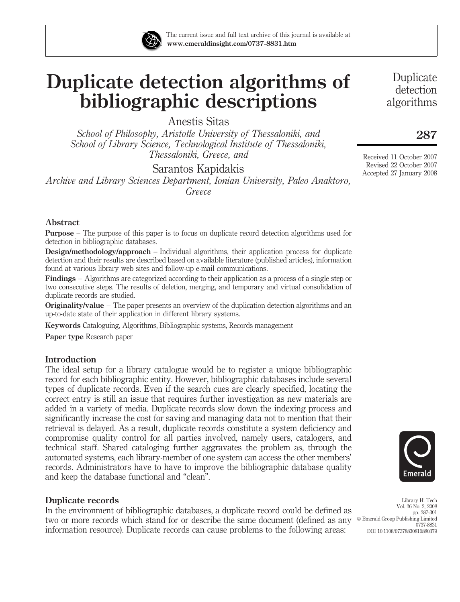

The current issue and full text archive of this journal is available at www.emeraldinsight.com/0737-8831.htm

# Duplicate detection algorithms of bibliographic descriptions

Anestis Sitas

School of Philosophy, Aristotle University of Thessaloniki, and School of Library Science, Technological Institute of Thessaloniki, Thessaloniki, Greece, and

Sarantos Kapidakis

Archive and Library Sciences Department, Ionian University, Paleo Anaktoro, Greece

## Abstract

Purpose – The purpose of this paper is to focus on duplicate record detection algorithms used for detection in bibliographic databases.

Design/methodology/approach – Individual algorithms, their application process for duplicate detection and their results are described based on available literature (published articles), information found at various library web sites and follow-up e-mail communications.

Findings – Algorithms are categorized according to their application as a process of a single step or two consecutive steps. The results of deletion, merging, and temporary and virtual consolidation of duplicate records are studied.

**Originality/value** – The paper presents an overview of the duplication detection algorithms and an up-to-date state of their application in different library systems.

Keywords Cataloguing, Algorithms, Bibliographic systems, Records management

Paper type Research paper

## Introduction

The ideal setup for a library catalogue would be to register a unique bibliographic record for each bibliographic entity. However, bibliographic databases include several types of duplicate records. Even if the search cues are clearly specified, locating the correct entry is still an issue that requires further investigation as new materials are added in a variety of media. Duplicate records slow down the indexing process and significantly increase the cost for saving and managing data not to mention that their retrieval is delayed. As a result, duplicate records constitute a system deficiency and compromise quality control for all parties involved, namely users, catalogers, and technical staff. Shared cataloging further aggravates the problem as, through the automated systems, each library-member of one system can access the other members' records. Administrators have to have to improve the bibliographic database quality and keep the database functional and "clean".

## Duplicate records

In the environment of bibliographic databases, a duplicate record could be defined as two or more records which stand for or describe the same document (defined as any information resource). Duplicate records can cause problems to the following areas:

Library Hi Tech Vol. 26 No. 2, 2008 pp. 287-301  $©$  Emerald Group Publishing Limited 0737-8831 DOI 10.1108/07378830810880379

Duplicate detection algorithms

287

Received 11 October 2007 Revised 22 October 2007 Accepted 27 January 2008

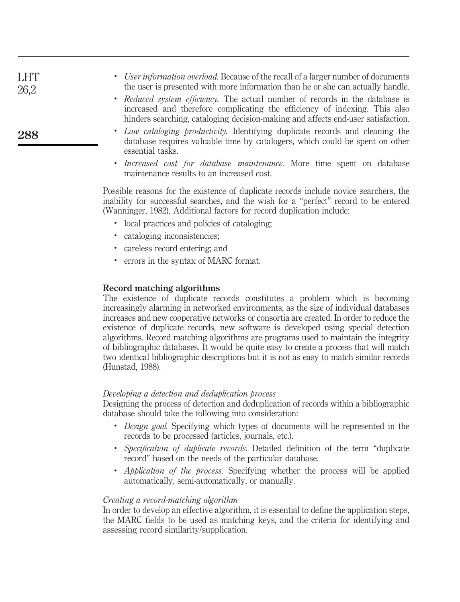| LHT<br>26,2 | • User information overload. Because of the recall of a larger number of documents<br>the user is presented with more information than he or she can actually handle.                                                                          |
|-------------|------------------------------------------------------------------------------------------------------------------------------------------------------------------------------------------------------------------------------------------------|
|             | • Reduced system efficiency. The actual number of records in the database is<br>increased and therefore complicating the efficiency of indexing. This also<br>hinders searching, cataloging decision-making and affects end-user satisfaction. |
| 288         | • Low cataloging productivity. Identifying duplicate records and cleaning the<br>database requires valuable time by catalogers, which could be spent on other<br>essential tasks.                                                              |
|             | • Increased cost for database maintenance. More time spent on database<br>maintenance results to an increased cost.                                                                                                                            |

Possible reasons for the existence of duplicate records include novice searchers, the inability for successful searches, and the wish for a "perfect" record to be entered (Wanninger, 1982). Additional factors for record duplication include:

- . local practices and policies of cataloging;
- . cataloging inconsistencies;
- . careless record entering; and
- . errors in the syntax of MARC format.

## Record matching algorithms

The existence of duplicate records constitutes a problem which is becoming increasingly alarming in networked environments, as the size of individual databases increases and new cooperative networks or consortia are created. In order to reduce the existence of duplicate records, new software is developed using special detection algorithms. Record matching algorithms are programs used to maintain the integrity of bibliographic databases. It would be quite easy to create a process that will match two identical bibliographic descriptions but it is not as easy to match similar records (Hunstad, 1988).

#### Developing a detection and deduplication process

Designing the process of detection and deduplication of records within a bibliographic database should take the following into consideration:

- . Design goal. Specifying which types of documents will be represented in the records to be processed (articles, journals, etc.).
- . Specification of duplicate records. Detailed definition of the term "duplicate record" based on the needs of the particular database.
- . Application of the process. Specifying whether the process will be applied automatically, semi-automatically, or manually.

#### Creating a record-matching algorithm

In order to develop an effective algorithm, it is essential to define the application steps, the MARC fields to be used as matching keys, and the criteria for identifying and assessing record similarity/supplication.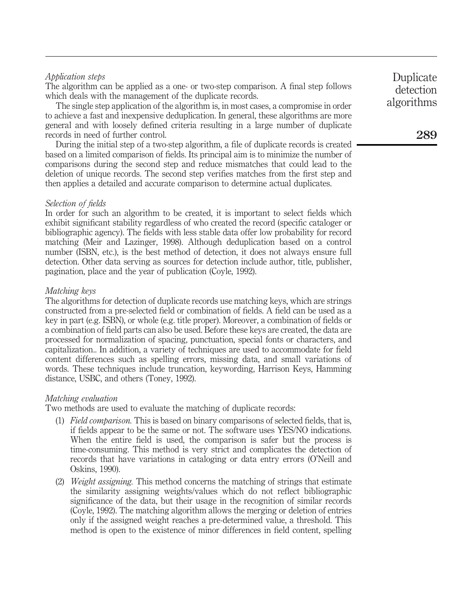## Application steps

The algorithm can be applied as a one- or two-step comparison. A final step follows which deals with the management of the duplicate records.

The single step application of the algorithm is, in most cases, a compromise in order to achieve a fast and inexpensive deduplication. In general, these algorithms are more general and with loosely defined criteria resulting in a large number of duplicate records in need of further control.

During the initial step of a two-step algorithm, a file of duplicate records is created based on a limited comparison of fields. Its principal aim is to minimize the number of comparisons during the second step and reduce mismatches that could lead to the deletion of unique records. The second step verifies matches from the first step and then applies a detailed and accurate comparison to determine actual duplicates.

## Selection of fields

In order for such an algorithm to be created, it is important to select fields which exhibit significant stability regardless of who created the record (specific cataloger or bibliographic agency). The fields with less stable data offer low probability for record matching (Meir and Lazinger, 1998). Although deduplication based on a control number (ISBN, etc.), is the best method of detection, it does not always ensure full detection. Other data serving as sources for detection include author, title, publisher, pagination, place and the year of publication (Coyle, 1992).

#### Matching keys

The algorithms for detection of duplicate records use matching keys, which are strings constructed from a pre-selected field or combination of fields. A field can be used as a key in part (e.g. ISBN), or whole (e.g. title proper). Moreover, a combination of fields or a combination of field parts can also be used. Before these keys are created, the data are processed for normalization of spacing, punctuation, special fonts or characters, and capitalization.. In addition, a variety of techniques are used to accommodate for field content differences such as spelling errors, missing data, and small variations of words. These techniques include truncation, keywording, Harrison Keys, Hamming distance, USBC, and others (Toney, 1992).

### Matching evaluation

Two methods are used to evaluate the matching of duplicate records:

- (1) Field comparison. This is based on binary comparisons of selected fields, that is, if fields appear to be the same or not. The software uses YES/NO indications. When the entire field is used, the comparison is safer but the process is time-consuming. This method is very strict and complicates the detection of records that have variations in cataloging or data entry errors (O'Neill and Oskins, 1990).
- (2) Weight assigning. This method concerns the matching of strings that estimate the similarity assigning weights/values which do not reflect bibliographic significance of the data, but their usage in the recognition of similar records (Coyle, 1992). The matching algorithm allows the merging or deletion of entries only if the assigned weight reaches a pre-determined value, a threshold. This method is open to the existence of minor differences in field content, spelling

Duplicate detection algorithms

289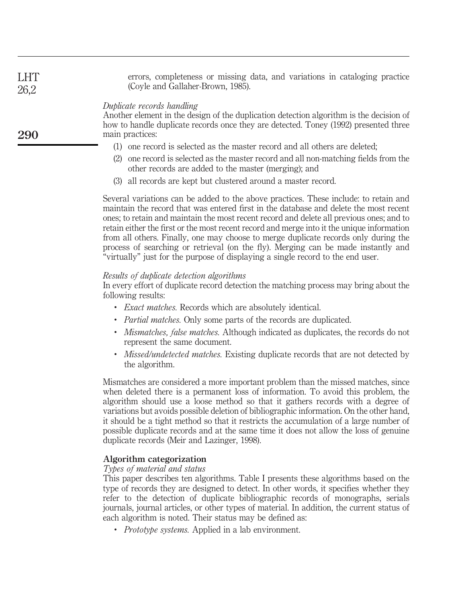errors, completeness or missing data, and variations in cataloging practice (Coyle and Gallaher-Brown, 1985).

#### Duplicate records handling

Another element in the design of the duplication detection algorithm is the decision of how to handle duplicate records once they are detected. Toney (1992) presented three main practices:

- (1) one record is selected as the master record and all others are deleted;
- (2) one record is selected as the master record and all non-matching fields from the other records are added to the master (merging); and
- (3) all records are kept but clustered around a master record.

Several variations can be added to the above practices. These include: to retain and maintain the record that was entered first in the database and delete the most recent ones; to retain and maintain the most recent record and delete all previous ones; and to retain either the first or the most recent record and merge into it the unique information from all others. Finally, one may choose to merge duplicate records only during the process of searching or retrieval (on the fly). Merging can be made instantly and "virtually" just for the purpose of displaying a single record to the end user.

#### Results of duplicate detection algorithms

In every effort of duplicate record detection the matching process may bring about the following results:

- . Exact matches. Records which are absolutely identical.
- *Partial matches*. Only some parts of the records are duplicated.
- . Mismatches, false matches. Although indicated as duplicates, the records do not represent the same document.
- Missed/undetected matches. Existing duplicate records that are not detected by the algorithm.

Mismatches are considered a more important problem than the missed matches, since when deleted there is a permanent loss of information. To avoid this problem, the algorithm should use a loose method so that it gathers records with a degree of variations but avoids possible deletion of bibliographic information. On the other hand, it should be a tight method so that it restricts the accumulation of a large number of possible duplicate records and at the same time it does not allow the loss of genuine duplicate records (Meir and Lazinger, 1998).

#### Algorithm categorization

#### Types of material and status

This paper describes ten algorithms. Table I presents these algorithms based on the type of records they are designed to detect. In other words, it specifies whether they refer to the detection of duplicate bibliographic records of monographs, serials journals, journal articles, or other types of material. In addition, the current status of each algorithm is noted. Their status may be defined as:

. Prototype systems. Applied in a lab environment.

290

LHT 26,2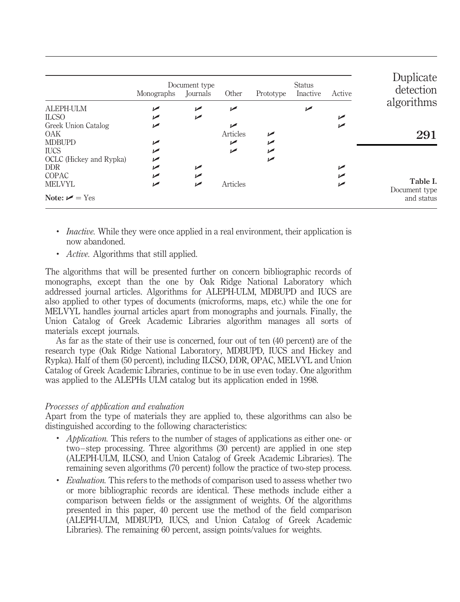|                         | <b>Monographs</b> | Document type<br><b>Journals</b> | Other    | Prototype | <b>Status</b><br>Inactive | Active | Duplicate<br>detection    |
|-------------------------|-------------------|----------------------------------|----------|-----------|---------------------------|--------|---------------------------|
| ALEPH-ULM               | ↙                 | ممتل                             | مما      |           | مما                       |        | algorithms                |
| <b>ILCSO</b>            | مما               | ✔                                |          |           |                           | ✔      |                           |
| Greek Union Catalog     | مما               |                                  | مما      |           |                           | مما    |                           |
| OAK                     |                   |                                  | Articles | ↙         |                           |        | 291                       |
| <b>MDBUPD</b>           | ممتل              |                                  | ✔        | مھما      |                           |        |                           |
| <b>IUCS</b>             | مما               |                                  | مما      | ممن       |                           |        |                           |
| OCLC (Hickey and Rypka) | مما               |                                  |          | ممن       |                           |        |                           |
| <b>DDR</b>              | مما               | مما                              |          |           |                           | مما    |                           |
| COPAC                   | مما               | مما                              |          |           |                           | ✔      |                           |
| <b>MELVYL</b>           | مما               | ممتل                             | Articles |           |                           | مما    | Table I.<br>Document type |
| Note: $V = Yes$         |                   |                                  |          |           |                           |        | and status                |

- . Inactive. While they were once applied in a real environment, their application is now abandoned.
- . Active. Algorithms that still applied.

The algorithms that will be presented further on concern bibliographic records of monographs, except than the one by Oak Ridge National Laboratory which addressed journal articles. Algorithms for ALEPH-ULM, MDBUPD and IUCS are also applied to other types of documents (microforms, maps, etc.) while the one for MELVYL handles journal articles apart from monographs and journals. Finally, the Union Catalog of Greek Academic Libraries algorithm manages all sorts of materials except journals.

As far as the state of their use is concerned, four out of ten (40 percent) are of the research type (Oak Ridge National Laboratory, MDBUPD, IUCS and Hickey and Rypka). Half of them (50 percent), including ILCSO, DDR, OPAC, MELVYL and Union Catalog of Greek Academic Libraries, continue to be in use even today. One algorithm was applied to the ALEPHs ULM catalog but its application ended in 1998.

# Processes of application and evaluation

Apart from the type of materials they are applied to, these algorithms can also be distinguished according to the following characteristics:

- . Application. This refers to the number of stages of applications as either one- or two–step processing. Three algorithms (30 percent) are applied in one step (ALEPH-ULM, ILCSO, and Union Catalog of Greek Academic Libraries). The remaining seven algorithms (70 percent) follow the practice of two-step process.
- . Evaluation. This refers to the methods of comparison used to assess whether two or more bibliographic records are identical. These methods include either a comparison between fields or the assignment of weights. Of the algorithms presented in this paper, 40 percent use the method of the field comparison (ALEPH-ULM, MDBUPD, IUCS, and Union Catalog of Greek Academic Libraries). The remaining 60 percent, assign points/values for weights.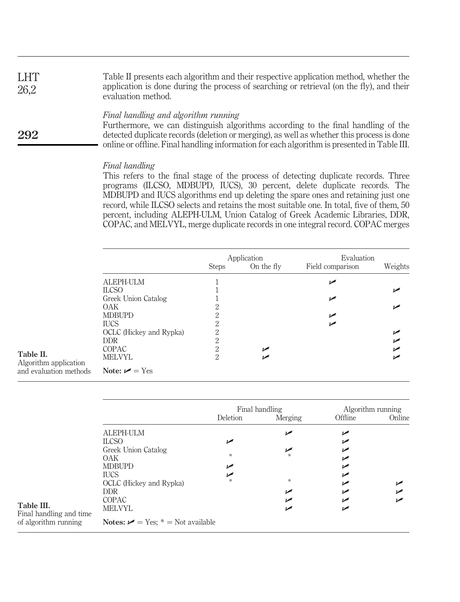| <b>LHT</b><br>26,2 | Table II presents each algorithm and their respective application method, whether the<br>application is done during the process of searching or retrieval (on the fly), and their<br>evaluation method. |
|--------------------|---------------------------------------------------------------------------------------------------------------------------------------------------------------------------------------------------------|
|                    | Final handling and algorithm running                                                                                                                                                                    |
|                    | Furthermore, we can distinguish algorithms according to the final handling of the                                                                                                                       |
| 292                | detected duplicate records (deletion or merging), as well as whether this process is done                                                                                                               |
|                    | online or offline. Final handling information for each algorithm is presented in Table III.                                                                                                             |

#### Final handling

This refers to the final stage of the process of detecting duplicate records. Three programs (ILCSO, MDBUPD, IUCS), 30 percent, delete duplicate records. The MDBUPD and IUCS algorithms end up deleting the spare ones and retaining just one record, while ILCSO selects and retains the most suitable one. In total, five of them, 50 percent, including ALEPH-ULM, Union Catalog of Greek Academic Libraries, DDR, COPAC, and MELVYL, merge duplicate records in one integral record. COPAC merges

|                           | Application    |            | Evaluation       |         |
|---------------------------|----------------|------------|------------------|---------|
|                           | <b>Steps</b>   | On the fly | Field comparison | Weights |
| ALEPH-ULM                 | ٠              |            | مما              |         |
| <b>ILCSO</b>              |                |            |                  |         |
| Greek Union Catalog       |                |            | مما              |         |
| <b>OAK</b>                | 2              |            |                  |         |
| <b>MDBUPD</b>             | $\overline{2}$ |            | ممتل             |         |
| <b>IUCS</b>               | 2              |            | مرا              |         |
| OCLC (Hickey and Rypka)   | $\overline{2}$ |            |                  |         |
| <b>DDR</b>                | $\overline{2}$ |            |                  |         |
| COPAC                     | $\overline{2}$ |            |                  |         |
| <b>MELVYL</b>             | $\overline{2}$ |            |                  |         |
| Note: $\mathcal{L}$ = Yes |                |            |                  |         |

#### Table II. Algorithm application

and evaluation method

|                                       |                                                             |               | Final handling | Algorithm running |        |
|---------------------------------------|-------------------------------------------------------------|---------------|----------------|-------------------|--------|
|                                       |                                                             | Deletion      | Merging        | Offline           | Online |
|                                       | ALEPH-ULM                                                   |               |                | ↙                 |        |
|                                       | <b>ILCSO</b>                                                | مما           |                | مما               |        |
|                                       | Greek Union Catalog                                         |               |                | مما               |        |
|                                       | <b>OAK</b>                                                  | $\frac{1}{2}$ | $\frac{1}{2}$  | مما               |        |
|                                       | <b>MDBUPD</b>                                               | مما           |                | ↙                 |        |
|                                       | <b>IUCS</b>                                                 | ↙             |                | ↙                 |        |
|                                       | OCLC (Hickey and Rypka)                                     | $\frac{1}{2}$ | $\frac{1}{2}$  | مما               |        |
|                                       | <b>DDR</b>                                                  |               |                | مما               |        |
|                                       | COPAC                                                       |               |                |                   |        |
| Table III.<br>Final handling and time | <b>MELVYL</b>                                               |               |                | ↙                 |        |
| of algorithm running                  | <b>Notes:</b> $\mathcal{L} = \text{Yes:}$ * = Not available |               |                |                   |        |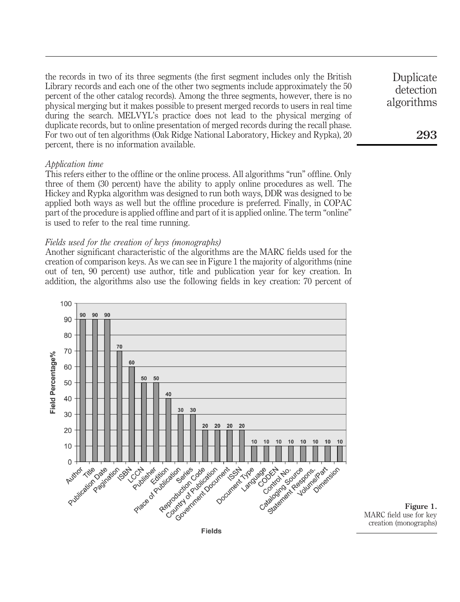the records in two of its three segments (the first segment includes only the British Library records and each one of the other two segments include approximately the 50 percent of the other catalog records). Among the three segments, however, there is no physical merging but it makes possible to present merged records to users in real time during the search. MELVYL's practice does not lead to the physical merging of duplicate records, but to online presentation of merged records during the recall phase. For two out of ten algorithms (Oak Ridge National Laboratory, Hickey and Rypka), 20 percent, there is no information available.

## Application time

This refers either to the offline or the online process. All algorithms "run" offline. Only three of them (30 percent) have the ability to apply online procedures as well. The Hickey and Rypka algorithm was designed to run both ways, DDR was designed to be applied both ways as well but the offline procedure is preferred. Finally, in COPAC part of the procedure is applied offline and part of it is applied online. The term "online" is used to refer to the real time running.

## Fields used for the creation of keys (monographs)

Another significant characteristic of the algorithms are the MARC fields used for the creation of comparison keys. As we can see in Figure 1 the majority of algorithms (nine out of ten, 90 percent) use author, title and publication year for key creation. In addition, the algorithms also use the following fields in key creation: 70 percent of



Figure 1. MARC field use for key creation (monographs)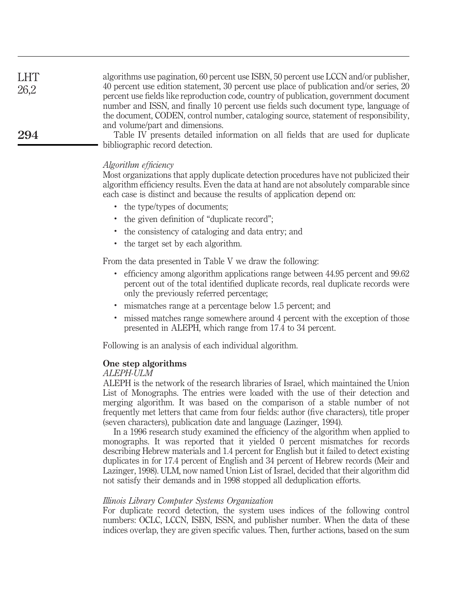| <b>LHT</b> | algorithms use pagination, 60 percent use ISBN, 50 percent use LCCN and/or publisher,   |
|------------|-----------------------------------------------------------------------------------------|
| 26,2       | 40 percent use edition statement, 30 percent use place of publication and/or series, 20 |
|            | percent use fields like reproduction code, country of publication, government document  |
|            | number and ISSN, and finally 10 percent use fields such document type, language of      |
|            | the document, CODEN, control number, cataloging source, statement of responsibility,    |
|            | and volume/part and dimensions.                                                         |
| 294        | Table IV presents detailed information on all fields that are used for duplicate        |
|            | bibliographic record detection.                                                         |

## Algorithm efficiency

Most organizations that apply duplicate detection procedures have not publicized their algorithm efficiency results. Even the data at hand are not absolutely comparable since each case is distinct and because the results of application depend on:

- . the type/types of documents;
- . the given definition of "duplicate record";
- . the consistency of cataloging and data entry; and
- . the target set by each algorithm.

From the data presented in Table V we draw the following:

- . efficiency among algorithm applications range between 44.95 percent and 99.62 percent out of the total identified duplicate records, real duplicate records were only the previously referred percentage;
- . mismatches range at a percentage below 1.5 percent; and
- . missed matches range somewhere around 4 percent with the exception of those presented in ALEPH, which range from 17.4 to 34 percent.

Following is an analysis of each individual algorithm.

## One step algorithms

# ALEPH-ULM

ALEPH is the network of the research libraries of Israel, which maintained the Union List of Monographs. The entries were loaded with the use of their detection and merging algorithm. It was based on the comparison of a stable number of not frequently met letters that came from four fields: author (five characters), title proper (seven characters), publication date and language (Lazinger, 1994).

In a 1996 research study examined the efficiency of the algorithm when applied to monographs. It was reported that it yielded 0 percent mismatches for records describing Hebrew materials and 1.4 percent for English but it failed to detect existing duplicates in for 17.4 percent of English and 34 percent of Hebrew records (Meir and Lazinger, 1998). ULM, now named Union List of Israel, decided that their algorithm did not satisfy their demands and in 1998 stopped all deduplication efforts.

#### Illinois Library Computer Systems Organization

For duplicate record detection, the system uses indices of the following control numbers: OCLC, LCCN, ISBN, ISSN, and publisher number. When the data of these indices overlap, they are given specific values. Then, further actions, based on the sum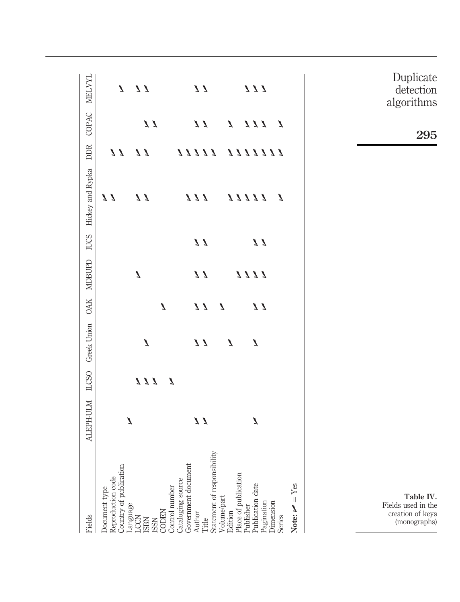| COPAC MELVYL     |                                                              | 7 <sub>7</sub>                                                                                                               | $\sqrt{7}$                                                                                                    | 777                                                                                        | Duplicate<br>detection<br>algorithms                                |
|------------------|--------------------------------------------------------------|------------------------------------------------------------------------------------------------------------------------------|---------------------------------------------------------------------------------------------------------------|--------------------------------------------------------------------------------------------|---------------------------------------------------------------------|
|                  |                                                              | $\mathbf{Z}$                                                                                                                 | $\mathbf{Z}$                                                                                                  | 7 7 7 7 7                                                                                  | 295                                                                 |
| <b>DDR</b>       | 77 77                                                        |                                                                                                                              | 77777 7777777                                                                                                 |                                                                                            |                                                                     |
| Hickey and Rypka | $\sqrt{2}$                                                   | $\mathbf{Z}$                                                                                                                 | 777                                                                                                           | 777777                                                                                     |                                                                     |
| <b>TUCS</b>      |                                                              |                                                                                                                              | $\mathbf{Z}$                                                                                                  | $\mathbf{Z}$                                                                               |                                                                     |
| OAK MDBUPD       |                                                              | $\boldsymbol{Z}$                                                                                                             | $\mathbf{Z}$                                                                                                  | 7777                                                                                       |                                                                     |
|                  |                                                              | $\boldsymbol{Z}$                                                                                                             | 77 <sup>7</sup>                                                                                               | $\overline{1}$                                                                             |                                                                     |
| Greek Union      |                                                              | $\pmb{Z}$                                                                                                                    | $\sqrt{7}$<br>$\mathbf{Z}$                                                                                    | $\mathbf{Z}$                                                                               |                                                                     |
| ILCSO            |                                                              | 777 7                                                                                                                        |                                                                                                               |                                                                                            |                                                                     |
| <b>ALEPH-ULM</b> | $\pmb{Z}$                                                    |                                                                                                                              | $\sqrt{2}$                                                                                                    | $\boldsymbol{Z}$                                                                           |                                                                     |
| Fields           | Country of publication<br>Reproduction code<br>Document type | Government document<br>Cataloging source<br>Control number<br>Language<br>CODEN<br><b>LCCN</b><br><b>ISBN</b><br><b>ISSN</b> | Statement of responsibility<br>Place of publication<br>Volume/part<br>Publisher<br>Author<br>Edition<br>Title | Publication date<br>Yes<br>$\vert\vert$<br>Pagination<br>Dimension<br>Z<br>Note:<br>Series | Table IV.<br>Fields used in the<br>creation of keys<br>(monographs) |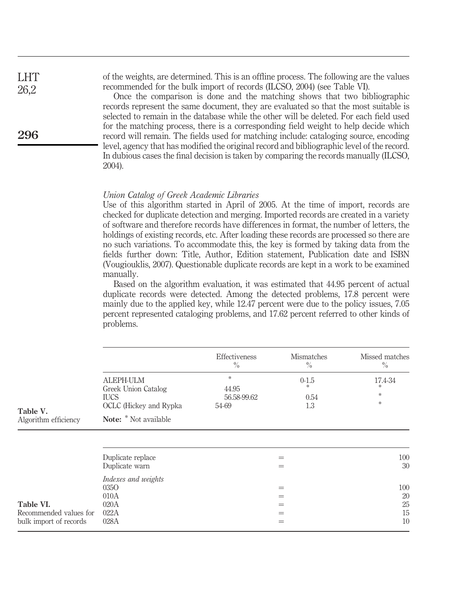| 26,2 | recommended for the bulk import of records (ILCSO, 2004) (see Table VI).                   |
|------|--------------------------------------------------------------------------------------------|
|      | Once the comparison is done and the matching shows that two bibliographic                  |
|      | records represent the same document, they are evaluated so that the most suitable is       |
|      | selected to remain in the database while the other will be deleted. For each field used    |
|      | for the matching process, there is a corresponding field weight to help decide which       |
| 296  | record will remain. The fields used for matching include: cataloging source, encoding      |
|      | level, agency that has modified the original record and bibliographic level of the record. |
|      | In dubious cases the final decision is taken by comparing the records manually (ILCSO,     |
|      | 2004).                                                                                     |
|      |                                                                                            |

#### Union Catalog of Greek Academic Libraries

LHT

Use of this algorithm started in April of 2005. At the time of import, records are checked for duplicate detection and merging. Imported records are created in a variety of software and therefore records have differences in format, the number of letters, the holdings of existing records, etc. After loading these records are processed so there are no such variations. To accommodate this, the key is formed by taking data from the fields further down: Title, Author, Edition statement, Publication date and ISBN (Vougiouklis, 2007). Questionable duplicate records are kept in a work to be examined manually.

of the weights, are determined. This is an offline process. The following are the values

Based on the algorithm evaluation, it was estimated that 44.95 percent of actual duplicate records were detected. Among the detected problems, 17.8 percent were mainly due to the applied key, while 12.47 percent were due to the policy issues, 7.05 percent represented cataloging problems, and 17.62 percent referred to other kinds of problems.

|                                                  |                                                                           | Effectiveness<br>$\frac{0}{0}$                 | <b>Mismatches</b><br>$\frac{0}{0}$      | Missed matches<br>$\frac{0}{0}$    |
|--------------------------------------------------|---------------------------------------------------------------------------|------------------------------------------------|-----------------------------------------|------------------------------------|
| Table V.                                         | ALEPH-ULM<br>Greek Union Catalog<br><b>IUCS</b><br>OCLC (Hickey and Rypka | $\frac{1}{2}$<br>44.95<br>56.58-99.62<br>54-69 | $0-1.5$<br>$\frac{1}{2}$<br>0.54<br>1.3 | 17.4-34<br>*<br>*<br>$\frac{1}{2}$ |
| Algorithm efficiency                             | Note: * Not available                                                     |                                                |                                         |                                    |
|                                                  | Duplicate replace<br>Duplicate warn<br>Indexes and weights                |                                                | $=$<br>$=$                              | 100<br>30                          |
| Table VI.                                        | 0350<br>010A<br>020A                                                      |                                                | $=$<br>$=$<br>$=$                       | 100<br>20<br>25                    |
| Recommended values for<br>bulk import of records | 022A<br>028A                                                              |                                                | $=$<br>$=$                              | $15\,$<br>10                       |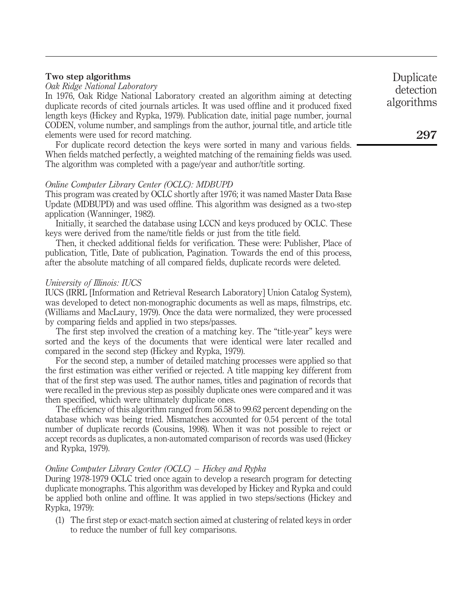## Two step algorithms

Oak Ridge National Laboratory

In 1976, Oak Ridge National Laboratory created an algorithm aiming at detecting duplicate records of cited journals articles. It was used offline and it produced fixed length keys (Hickey and Rypka, 1979). Publication date, initial page number, journal CODEN, volume number, and samplings from the author, journal title, and article title elements were used for record matching.

For duplicate record detection the keys were sorted in many and various fields. When fields matched perfectly, a weighted matching of the remaining fields was used. The algorithm was completed with a page/year and author/title sorting.

## Online Computer Library Center (OCLC): MDBUPD

This program was created by OCLC shortly after 1976; it was named Master Data Base Update (MDBUPD) and was used offline. This algorithm was designed as a two-step application (Wanninger, 1982).

Initially, it searched the database using LCCN and keys produced by OCLC. These keys were derived from the name/title fields or just from the title field.

Then, it checked additional fields for verification. These were: Publisher, Place of publication, Title, Date of publication, Pagination. Towards the end of this process, after the absolute matching of all compared fields, duplicate records were deleted.

## University of Illinois: IUCS

IUCS (IRRL [Information and Retrieval Research Laboratory] Union Catalog System), was developed to detect non-monographic documents as well as maps, filmstrips, etc. (Williams and MacLaury, 1979). Once the data were normalized, they were processed by comparing fields and applied in two steps/passes.

The first step involved the creation of a matching key. The "title-year" keys were sorted and the keys of the documents that were identical were later recalled and compared in the second step (Hickey and Rypka, 1979).

For the second step, a number of detailed matching processes were applied so that the first estimation was either verified or rejected. A title mapping key different from that of the first step was used. The author names, titles and pagination of records that were recalled in the previous step as possibly duplicate ones were compared and it was then specified, which were ultimately duplicate ones.

The efficiency of this algorithm ranged from 56.58 to 99.62 percent depending on the database which was being tried. Mismatches accounted for 0.54 percent of the total number of duplicate records (Cousins, 1998). When it was not possible to reject or accept records as duplicates, a non-automated comparison of records was used (Hickey and Rypka, 1979).

## Online Computer Library Center (OCLC) – Hickey and Rypka

During 1978-1979 OCLC tried once again to develop a research program for detecting duplicate monographs. This algorithm was developed by Hickey and Rypka and could be applied both online and offline. It was applied in two steps/sections (Hickey and Rypka, 1979):

(1) The first step or exact-match section aimed at clustering of related keys in order to reduce the number of full key comparisons.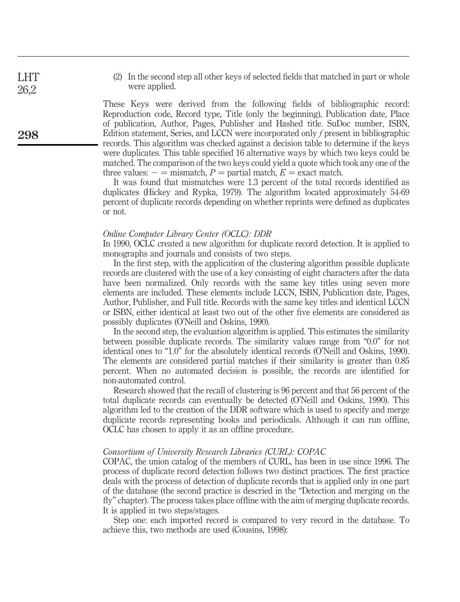LHT 26,2

298

(2) In the second step all other keys of selected fields that matched in part or whole were applied.

These Keys were derived from the following fields of bibliographic record: Reproduction code, Record type, Title (only the beginning), Publication date, Place of publication, Author, Pages, Publisher and Hashed title. SuDoc number, ISBN, Edition statement, Series, and LCCN were incorporated only f present in bibliographic records. This algorithm was checked against a decision table to determine if the keys were duplicates. This table specified 16 alternative ways by which two keys could be matched. The comparison of the two keys could yield a quote which took any one of the three values:  $-$  = mismatch,  $P$  = partial match,  $E$  = exact match.

It was found that mismatches were 1.3 percent of the total records identified as duplicates (Hickey and Rypka, 1979). The algorithm located approximately 54-69 percent of duplicate records depending on whether reprints were defined as duplicates or not.

## Online Computer Library Center (OCLC): DDR

In 1990, OCLC created a new algorithm for duplicate record detection. It is applied to monographs and journals and consists of two steps.

In the first step, with the application of the clustering algorithm possible duplicate records are clustered with the use of a key consisting of eight characters after the data have been normalized. Only records with the same key titles using seven more elements are included. These elements include LCCN, ISBN, Publication date, Pages, Author, Publisher, and Full title. Records with the same key titles and identical LCCN or ISBN, either identical at least two out of the other five elements are considered as possibly duplicates (O'Neill and Oskins, 1990).

In the second step, the evaluation algorithm is applied. This estimates the similarity between possible duplicate records. The similarity values range from "0.0" for not identical ones to "1.0" for the absolutely identical records (O'Neill and Oskins, 1990). The elements are considered partial matches if their similarity is greater than 0.85 percent. When no automated decision is possible, the records are identified for non-automated control.

Research showed that the recall of clustering is 96 percent and that 56 percent of the total duplicate records can eventually be detected (O'Neill and Oskins, 1990). This algorithm led to the creation of the DDR software which is used to specify and merge duplicate records representing books and periodicals. Although it can run offline, OCLC has chosen to apply it as an offline procedure.

## Consortium of University Research Libraries (CURL): COPAC

COPAC, the union catalog of the members of CURL, has been in use since 1996. The process of duplicate record detection follows two distinct practices. The first practice deals with the process of detection of duplicate records that is applied only in one part of the database (the second practice is descried in the "Detection and merging on the fly" chapter). The process takes place offline with the aim of merging duplicate records. It is applied in two steps/stages.

Step one: each imported record is compared to very record in the database. To achieve this, two methods are used (Cousins, 1998):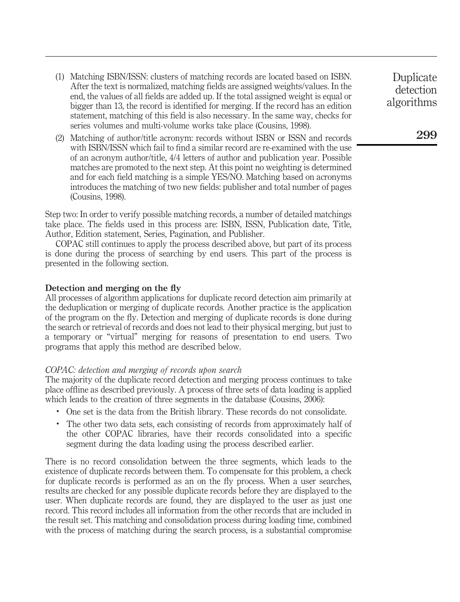- (1) Matching ISBN/ISSN: clusters of matching records are located based on ISBN. After the text is normalized, matching fields are assigned weights/values. In the end, the values of all fields are added up. If the total assigned weight is equal or bigger than 13, the record is identified for merging. If the record has an edition statement, matching of this field is also necessary. In the same way, checks for series volumes and multi-volume works take place (Cousins, 1998).
- (2) Matching of author/title acronym: records without ISBN or ISSN and records with ISBN/ISSN which fail to find a similar record are re-examined with the use of an acronym author/title, 4/4 letters of author and publication year. Possible matches are promoted to the next step. At this point no weighting is determined and for each field matching is a simple YES/NO. Matching based on acronyms introduces the matching of two new fields: publisher and total number of pages (Cousins, 1998).

Step two: In order to verify possible matching records, a number of detailed matchings take place. The fields used in this process are: ISBN, ISSN, Publication date, Title, Author, Edition statement, Series, Pagination, and Publisher.

COPAC still continues to apply the process described above, but part of its process is done during the process of searching by end users. This part of the process is presented in the following section.

## Detection and merging on the fly

All processes of algorithm applications for duplicate record detection aim primarily at the deduplication or merging of duplicate records. Another practice is the application of the program on the fly. Detection and merging of duplicate records is done during the search or retrieval of records and does not lead to their physical merging, but just to a temporary or "virtual" merging for reasons of presentation to end users. Two programs that apply this method are described below.

## COPAC: detection and merging of records upon search

The majority of the duplicate record detection and merging process continues to take place offline as described previously. A process of three sets of data loading is applied which leads to the creation of three segments in the database (Cousins, 2006):

- . One set is the data from the British library. These records do not consolidate.
- . The other two data sets, each consisting of records from approximately half of the other COPAC libraries, have their records consolidated into a specific segment during the data loading using the process described earlier.

There is no record consolidation between the three segments, which leads to the existence of duplicate records between them. To compensate for this problem, a check for duplicate records is performed as an on the fly process. When a user searches, results are checked for any possible duplicate records before they are displayed to the user. When duplicate records are found, they are displayed to the user as just one record. This record includes all information from the other records that are included in the result set. This matching and consolidation process during loading time, combined with the process of matching during the search process, is a substantial compromise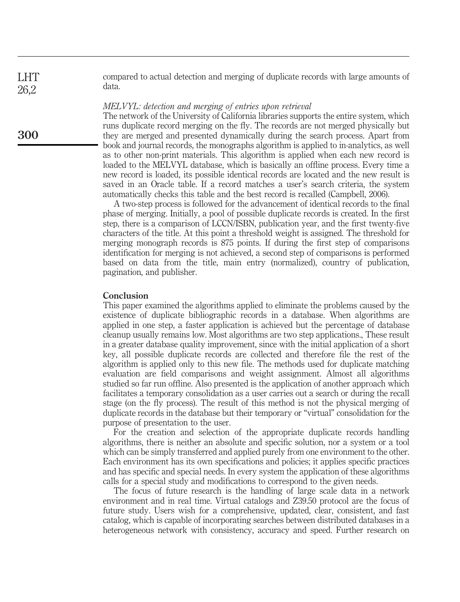compared to actual detection and merging of duplicate records with large amounts of data.

#### MELVYL: detection and merging of entries upon retrieval

The network of the University of California libraries supports the entire system, which runs duplicate record merging on the fly. The records are not merged physically but they are merged and presented dynamically during the search process. Apart from book and journal records, the monographs algorithm is applied to in-analytics, as well as to other non-print materials. This algorithm is applied when each new record is loaded to the MELVYL database, which is basically an offline process. Every time a new record is loaded, its possible identical records are located and the new result is saved in an Oracle table. If a record matches a user's search criteria, the system automatically checks this table and the best record is recalled (Campbell, 2006).

A two-step process is followed for the advancement of identical records to the final phase of merging. Initially, a pool of possible duplicate records is created. In the first step, there is a comparison of LCCN/ISBN, publication year, and the first twenty-five characters of the title. At this point a threshold weight is assigned. The threshold for merging monograph records is 875 points. If during the first step of comparisons identification for merging is not achieved, a second step of comparisons is performed based on data from the title, main entry (normalized), country of publication, pagination, and publisher.

## Conclusion

This paper examined the algorithms applied to eliminate the problems caused by the existence of duplicate bibliographic records in a database. When algorithms are applied in one step, a faster application is achieved but the percentage of database cleanup usually remains low. Most algorithms are two step applications., These result in a greater database quality improvement, since with the initial application of a short key, all possible duplicate records are collected and therefore file the rest of the algorithm is applied only to this new file. The methods used for duplicate matching evaluation are field comparisons and weight assignment. Almost all algorithms studied so far run offline. Also presented is the application of another approach which facilitates a temporary consolidation as a user carries out a search or during the recall stage (on the fly process). The result of this method is not the physical merging of duplicate records in the database but their temporary or "virtual" consolidation for the purpose of presentation to the user.

For the creation and selection of the appropriate duplicate records handling algorithms, there is neither an absolute and specific solution, nor a system or a tool which can be simply transferred and applied purely from one environment to the other. Each environment has its own specifications and policies; it applies specific practices and has specific and special needs. In every system the application of these algorithms calls for a special study and modifications to correspond to the given needs.

The focus of future research is the handling of large scale data in a network environment and in real time. Virtual catalogs and Z39.50 protocol are the focus of future study. Users wish for a comprehensive, updated, clear, consistent, and fast catalog, which is capable of incorporating searches between distributed databases in a heterogeneous network with consistency, accuracy and speed. Further research on

LHT 26,2